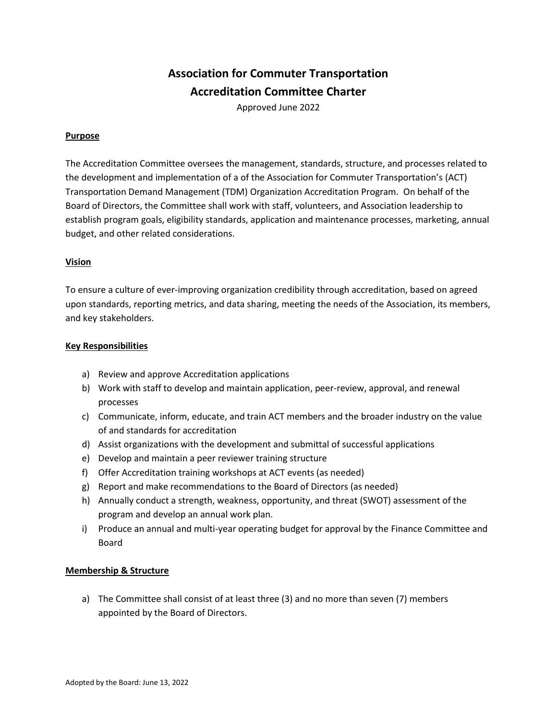# **Association for Commuter Transportation Accreditation Committee Charter**

Approved June 2022

### **Purpose**

The Accreditation Committee oversees the management, standards, structure, and processes related to the development and implementation of a of the Association for Commuter Transportation's (ACT) Transportation Demand Management (TDM) Organization Accreditation Program. On behalf of the Board of Directors, the Committee shall work with staff, volunteers, and Association leadership to establish program goals, eligibility standards, application and maintenance processes, marketing, annual budget, and other related considerations.

# **Vision**

To ensure a culture of ever-improving organization credibility through accreditation, based on agreed upon standards, reporting metrics, and data sharing, meeting the needs of the Association, its members, and key stakeholders.

#### **Key Responsibilities**

- a) Review and approve Accreditation applications
- b) Work with staff to develop and maintain application, peer-review, approval, and renewal processes
- c) Communicate, inform, educate, and train ACT members and the broader industry on the value of and standards for accreditation
- d) Assist organizations with the development and submittal of successful applications
- e) Develop and maintain a peer reviewer training structure
- f) Offer Accreditation training workshops at ACT events (as needed)
- g) Report and make recommendations to the Board of Directors (as needed)
- h) Annually conduct a strength, weakness, opportunity, and threat (SWOT) assessment of the program and develop an annual work plan.
- i) Produce an annual and multi-year operating budget for approval by the Finance Committee and Board

#### **Membership & Structure**

a) The Committee shall consist of at least three (3) and no more than seven (7) members appointed by the Board of Directors.